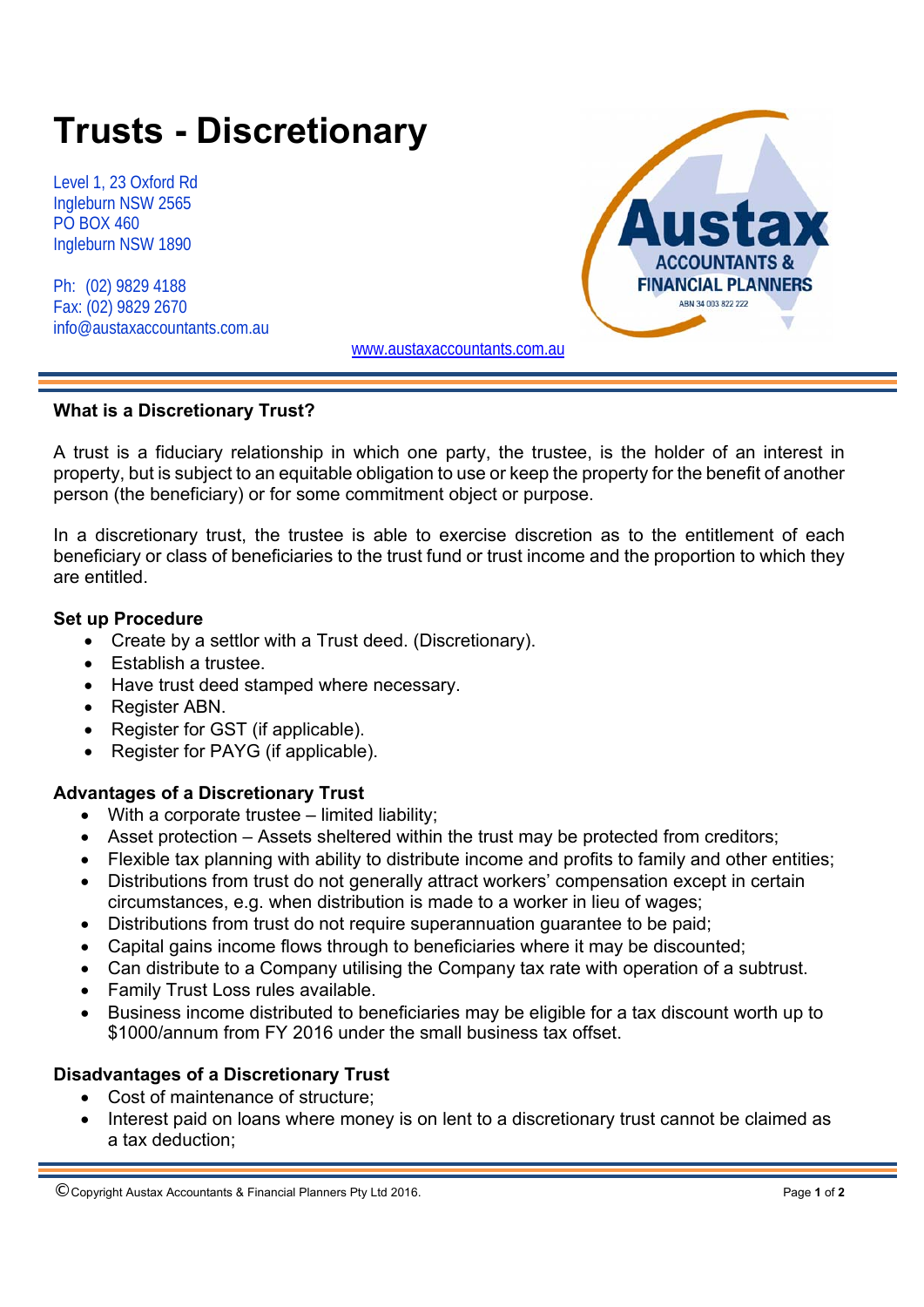# **Trusts - Discretionary**

Level 1, 23 Oxford Rd Ingleburn NSW 2565 PO BOX 460 Ingleburn NSW 1890

Ph: (02) 9829 4188 Fax: (02) 9829 2670 info@austaxaccountants.com.au



www.austaxaccountants.com.au

### **What is a Discretionary Trust?**

A trust is a fiduciary relationship in which one party, the trustee, is the holder of an interest in property, but is subject to an equitable obligation to use or keep the property for the benefit of another person (the beneficiary) or for some commitment object or purpose.

In a discretionary trust, the trustee is able to exercise discretion as to the entitlement of each beneficiary or class of beneficiaries to the trust fund or trust income and the proportion to which they are entitled.

### **Set up Procedure**

- Create by a settlor with a Trust deed. (Discretionary).
- Establish a trustee.
- Have trust deed stamped where necessary.
- Register ABN.
- Register for GST (if applicable).
- Register for PAYG (if applicable).

# **Advantages of a Discretionary Trust**

- With a corporate trustee limited liability;
- Asset protection Assets sheltered within the trust may be protected from creditors;
- Flexible tax planning with ability to distribute income and profits to family and other entities;
- Distributions from trust do not generally attract workers' compensation except in certain circumstances, e.g. when distribution is made to a worker in lieu of wages;
- Distributions from trust do not require superannuation guarantee to be paid;
- Capital gains income flows through to beneficiaries where it may be discounted;
- Can distribute to a Company utilising the Company tax rate with operation of a subtrust.
- Family Trust Loss rules available.
- Business income distributed to beneficiaries may be eligible for a tax discount worth up to \$1000/annum from FY 2016 under the small business tax offset.

# **Disadvantages of a Discretionary Trust**

- Cost of maintenance of structure;
- Interest paid on loans where money is on lent to a discretionary trust cannot be claimed as a tax deduction;

<sup>©</sup> Copyright Austax Accountants & Financial Planners Pty Ltd 2016. Page **1** of **<sup>2</sup>**